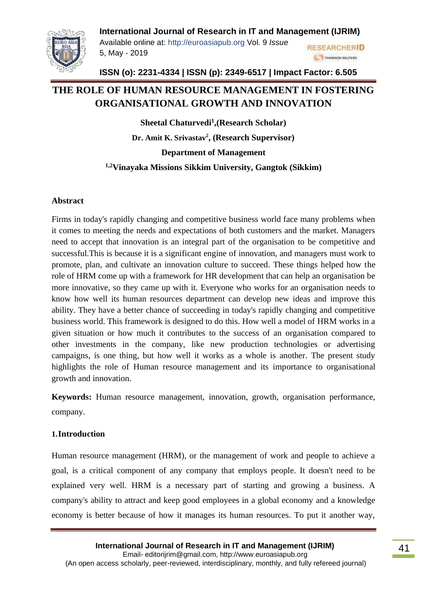

Available online at: [http://euroasiapub.org](http://euroasiapub.org/) Vol. 9 *Issue*  5, May - 2019

**RESEARCHERID STHOMSON REUTERS** 

**ISSN (o): 2231-4334 | ISSN (p): 2349-6517 | Impact Factor: 6.505**

# **THE ROLE OF HUMAN RESOURCE MANAGEMENT IN FOSTERING ORGANISATIONAL GROWTH AND INNOVATION**

**Sheetal Chaturvedi<sup>1</sup> ,(Research Scholar)** 

**Dr. Amit K. Srivastav<sup>2</sup> , (Research Supervisor)**

**Department of Management**

**1,2Vinayaka Missions Sikkim University, Gangtok (Sikkim)**

#### **Abstract**

Firms in today's rapidly changing and competitive business world face many problems when it comes to meeting the needs and expectations of both customers and the market. Managers need to accept that innovation is an integral part of the organisation to be competitive and successful.This is because it is a significant engine of innovation, and managers must work to promote, plan, and cultivate an innovation culture to succeed. These things helped how the role of HRM come up with a framework for HR development that can help an organisation be more innovative, so they came up with it. Everyone who works for an organisation needs to know how well its human resources department can develop new ideas and improve this ability. They have a better chance of succeeding in today's rapidly changing and competitive business world. This framework is designed to do this. How well a model of HRM works in a given situation or how much it contributes to the success of an organisation compared to other investments in the company, like new production technologies or advertising campaigns, is one thing, but how well it works as a whole is another. The present study highlights the role of Human resource management and its importance to organisational growth and innovation.

**Keywords:** Human resource management, innovation, growth, organisation performance, company.

# **1.Introduction**

Human resource management (HRM), or the management of work and people to achieve a goal, is a critical component of any company that employs people. It doesn't need to be explained very well. HRM is a necessary part of starting and growing a business. A company's ability to attract and keep good employees in a global economy and a knowledge economy is better because of how it manages its human resources. To put it another way,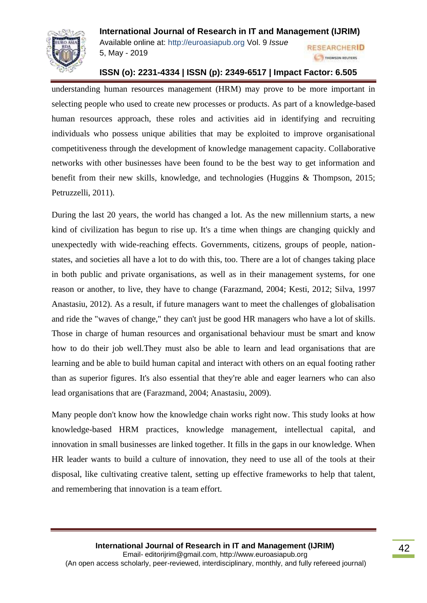

**RESEARCHERID 6 S THOMSON REUTERS** 

Available online at: [http://euroasiapub.org](http://euroasiapub.org/) Vol. 9 *Issue*  5, May - 2019

### **ISSN (o): 2231-4334 | ISSN (p): 2349-6517 | Impact Factor: 6.505**

understanding human resources management (HRM) may prove to be more important in selecting people who used to create new processes or products. As part of a knowledge-based human resources approach, these roles and activities aid in identifying and recruiting individuals who possess unique abilities that may be exploited to improve organisational competitiveness through the development of knowledge management capacity. Collaborative networks with other businesses have been found to be the best way to get information and benefit from their new skills, knowledge, and technologies (Huggins & Thompson, 2015; Petruzzelli, 2011).

During the last 20 years, the world has changed a lot. As the new millennium starts, a new kind of civilization has begun to rise up. It's a time when things are changing quickly and unexpectedly with wide-reaching effects. Governments, citizens, groups of people, nationstates, and societies all have a lot to do with this, too. There are a lot of changes taking place in both public and private organisations, as well as in their management systems, for one reason or another, to live, they have to change (Farazmand, 2004; Kesti, 2012; Silva, 1997 Anastasiu, 2012). As a result, if future managers want to meet the challenges of globalisation and ride the "waves of change," they can't just be good HR managers who have a lot of skills. Those in charge of human resources and organisational behaviour must be smart and know how to do their job well.They must also be able to learn and lead organisations that are learning and be able to build human capital and interact with others on an equal footing rather than as superior figures. It's also essential that they're able and eager learners who can also lead organisations that are (Farazmand, 2004; Anastasiu, 2009).

Many people don't know how the knowledge chain works right now. This study looks at how knowledge-based HRM practices, knowledge management, intellectual capital, and innovation in small businesses are linked together. It fills in the gaps in our knowledge. When HR leader wants to build a culture of innovation, they need to use all of the tools at their disposal, like cultivating creative talent, setting up effective frameworks to help that talent, and remembering that innovation is a team effort.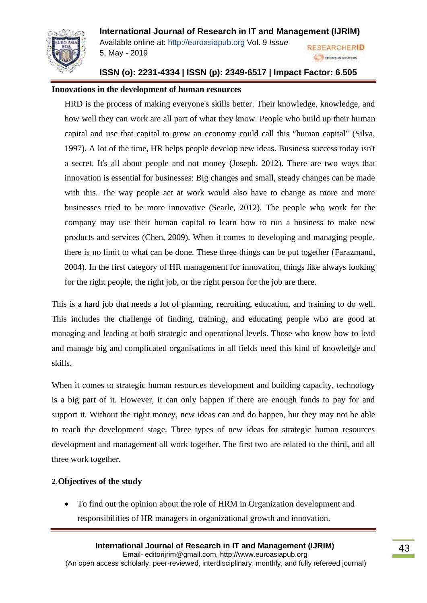

**RESEARCHERID S THOMSON REUTERS** 

Available online at: [http://euroasiapub.org](http://euroasiapub.org/) Vol. 9 *Issue*  5, May - 2019

# **ISSN (o): 2231-4334 | ISSN (p): 2349-6517 | Impact Factor: 6.505**

#### **Innovations in the development of human resources**

HRD is the process of making everyone's skills better. Their knowledge, knowledge, and how well they can work are all part of what they know. People who build up their human capital and use that capital to grow an economy could call this "human capital" (Silva, 1997). A lot of the time, HR helps people develop new ideas. Business success today isn't a secret. It's all about people and not money (Joseph, 2012). There are two ways that innovation is essential for businesses: Big changes and small, steady changes can be made with this. The way people act at work would also have to change as more and more businesses tried to be more innovative (Searle, 2012). The people who work for the company may use their human capital to learn how to run a business to make new products and services (Chen, 2009). When it comes to developing and managing people, there is no limit to what can be done. These three things can be put together (Farazmand, 2004). In the first category of HR management for innovation, things like always looking for the right people, the right job, or the right person for the job are there.

This is a hard job that needs a lot of planning, recruiting, education, and training to do well. This includes the challenge of finding, training, and educating people who are good at managing and leading at both strategic and operational levels. Those who know how to lead and manage big and complicated organisations in all fields need this kind of knowledge and skills.

When it comes to strategic human resources development and building capacity, technology is a big part of it. However, it can only happen if there are enough funds to pay for and support it. Without the right money, new ideas can and do happen, but they may not be able to reach the development stage. Three types of new ideas for strategic human resources development and management all work together. The first two are related to the third, and all three work together.

#### **2.Objectives of the study**

• To find out the opinion about the role of HRM in Organization development and responsibilities of HR managers in organizational growth and innovation.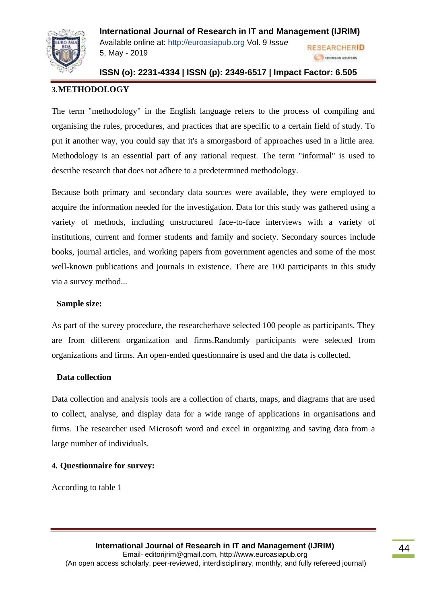

**International Journal of Research in IT and Management (IJRIM)** Available online at: [http://euroasiapub.org](http://euroasiapub.org/) Vol. 9 *Issue*  **RESEARCHERID** 5, May - 2019

# **ISSN (o): 2231-4334 | ISSN (p): 2349-6517 | Impact Factor: 6.505**

**6 S THOMSON REUTERS** 

# **3.METHODOLOGY**

The term "methodology" in the English language refers to the process of compiling and organising the rules, procedures, and practices that are specific to a certain field of study. To put it another way, you could say that it's a smorgasbord of approaches used in a little area. Methodology is an essential part of any rational request. The term "informal" is used to describe research that does not adhere to a predetermined methodology.

Because both primary and secondary data sources were available, they were employed to acquire the information needed for the investigation. Data for this study was gathered using a variety of methods, including unstructured face-to-face interviews with a variety of institutions, current and former students and family and society. Secondary sources include books, journal articles, and working papers from government agencies and some of the most well-known publications and journals in existence. There are 100 participants in this study via a survey method...

#### **Sample size:**

As part of the survey procedure, the researcherhave selected 100 people as participants. They are from different organization and firms.Randomly participants were selected from organizations and firms. An open-ended questionnaire is used and the data is collected.

#### **Data collection**

Data collection and analysis tools are a collection of charts, maps, and diagrams that are used to collect, analyse, and display data for a wide range of applications in organisations and firms. The researcher used Microsoft word and excel in organizing and saving data from a large number of individuals.

#### **4. Questionnaire for survey:**

According to table 1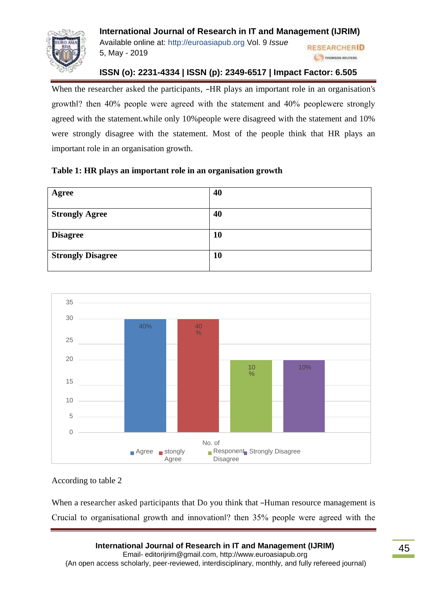

**RESEARCHERID CONTINUES THOMSON REUTERS** 

Available online at: [http://euroasiapub.org](http://euroasiapub.org/) Vol. 9 *Issue*  5, May - 2019

# **ISSN (o): 2231-4334 | ISSN (p): 2349-6517 | Impact Factor: 6.505**

When the researcher asked the participants, –HR plays an important role in an organisation's growth‖? then 40% people were agreed with the statement and 40% peoplewere strongly agreed with the statement.while only 10%people were disagreed with the statement and 10% were strongly disagree with the statement. Most of the people think that HR plays an important role in an organisation growth.

|  |  | Table 1: HR plays an important role in an organisation growth |  |
|--|--|---------------------------------------------------------------|--|
|  |  |                                                               |  |

| Agree                    | 40 |
|--------------------------|----|
| <b>Strongly Agree</b>    | 40 |
| <b>Disagree</b>          | 10 |
| <b>Strongly Disagree</b> | 10 |



According to table 2

When a researcher asked participants that Do you think that –Human resource management is Crucial to organisational growth and innovation‖? then 35% people were agreed with the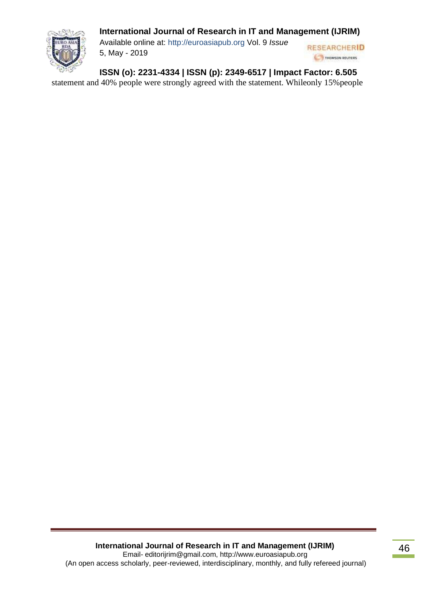

Available online at: [http://euroasiapub.org](http://euroasiapub.org/) Vol. 9 *Issue*  5, May - 2019



**ISSN (o): 2231-4334 | ISSN (p): 2349-6517 | Impact Factor: 6.505**

statement and 40% people were strongly agreed with the statement. Whileonly 15%people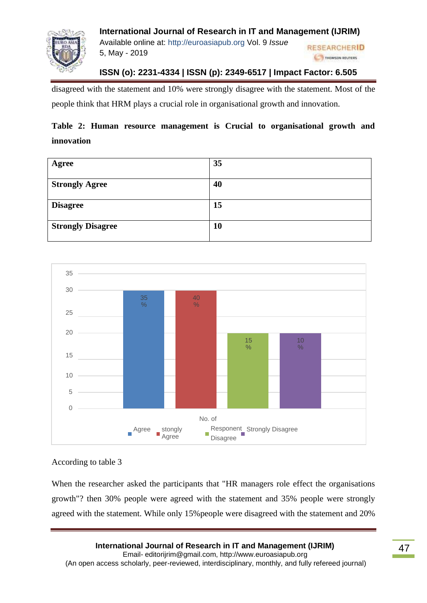

**International Journal of Research in IT and Management (IJRIM)** Available online at: [http://euroasiapub.org](http://euroasiapub.org/) Vol. 9 *Issue*  **RESEARCHERID** 5, May - 2019 **CONTINUES THOMSON REUTERS** 

# **ISSN (o): 2231-4334 | ISSN (p): 2349-6517 | Impact Factor: 6.505**

disagreed with the statement and 10% were strongly disagree with the statement. Most of the people think that HRM plays a crucial role in organisational growth and innovation.

# **Table 2: Human resource management is Crucial to organisational growth and innovation**

| Agree                    | 35 |
|--------------------------|----|
|                          |    |
| <b>Strongly Agree</b>    | 40 |
|                          |    |
| <b>Disagree</b>          | 15 |
|                          |    |
| <b>Strongly Disagree</b> | 10 |
|                          |    |



#### According to table 3

When the researcher asked the participants that "HR managers role effect the organisations growth"? then 30% people were agreed with the statement and 35% people were strongly agreed with the statement. While only 15%people were disagreed with the statement and 20%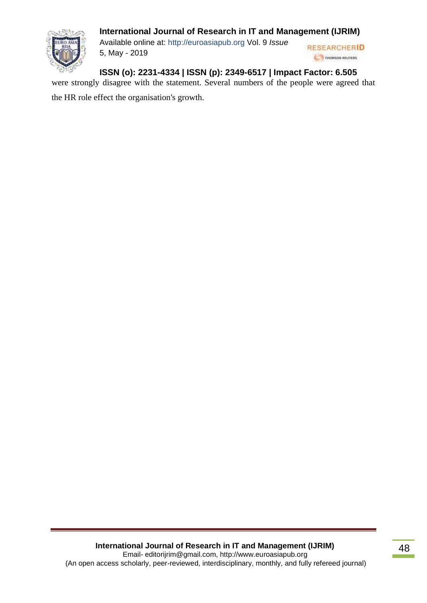

Available online at: [http://euroasiapub.org](http://euroasiapub.org/) Vol. 9 *Issue*  5, May - 2019

**RESEARCHERID CONSIDERED BELLEVE** 

**ISSN (o): 2231-4334 | ISSN (p): 2349-6517 | Impact Factor: 6.505**

were strongly disagree with the statement. Several numbers of the people were agreed that

the HR role effect the organisation's growth.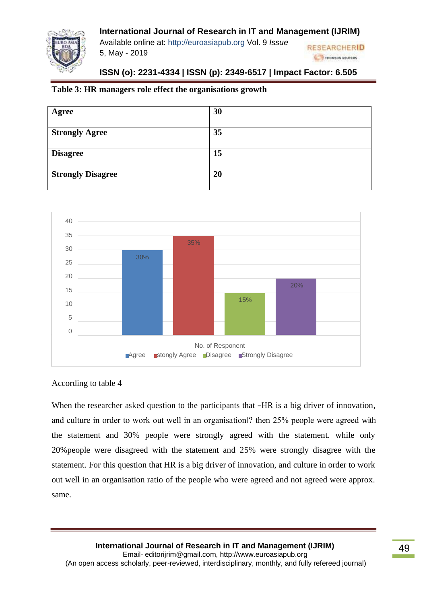Available online at: [http://euroasiapub.org](http://euroasiapub.org/) Vol. 9 *Issue*  5, May - 2019



# **ISSN (o): 2231-4334 | ISSN (p): 2349-6517 | Impact Factor: 6.505**

### **Table 3: HR managers role effect the organisations growth**

| Agree                    | 30 |
|--------------------------|----|
| <b>Strongly Agree</b>    | 35 |
| <b>Disagree</b>          | 15 |
| <b>Strongly Disagree</b> | 20 |



#### According to table 4

When the researcher asked question to the participants that –HR is a big driver of innovation, and culture in order to work out well in an organisation‖? then 25% people were agreed with the statement and 30% people were strongly agreed with the statement. while only 20%people were disagreed with the statement and 25% were strongly disagree with the statement. For this question that HR is a big driver of innovation, and culture in order to work out well in an organisation ratio of the people who were agreed and not agreed were approx. same.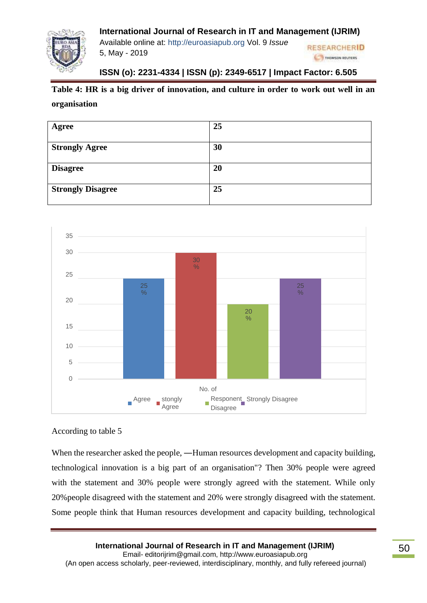

Available online at: [http://euroasiapub.org](http://euroasiapub.org/) Vol. 9 *Issue*  5, May - 2019

#### **RESEARCHERID A THOMSON REUTERS**

# **ISSN (o): 2231-4334 | ISSN (p): 2349-6517 | Impact Factor: 6.505**

# **Table 4: HR is a big driver of innovation, and culture in order to work out well in an**

#### **organisation**

| Agree                    | 25 |
|--------------------------|----|
| <b>Strongly Agree</b>    | 30 |
| <b>Disagree</b>          | 20 |
| <b>Strongly Disagree</b> | 25 |



#### According to table 5

When the researcher asked the people, —Human resources development and capacity building, technological innovation is a big part of an organisation"? Then 30% people were agreed with the statement and 30% people were strongly agreed with the statement. While only 20%people disagreed with the statement and 20% were strongly disagreed with the statement. Some people think that Human resources development and capacity building, technological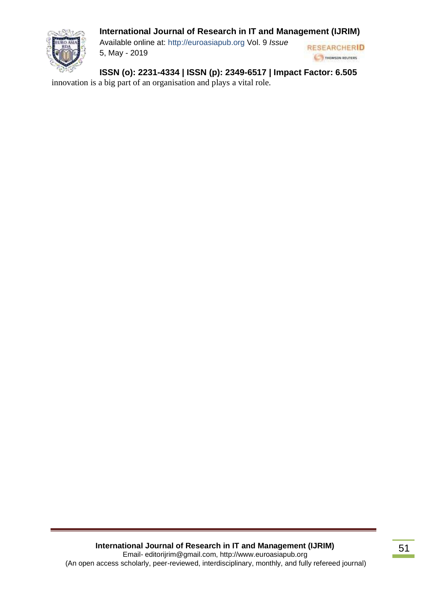

Available online at: [http://euroasiapub.org](http://euroasiapub.org/) Vol. 9 *Issue*  5, May - 2019



**ISSN (o): 2231-4334 | ISSN (p): 2349-6517 | Impact Factor: 6.505**

innovation is a big part of an organisation and plays a vital role.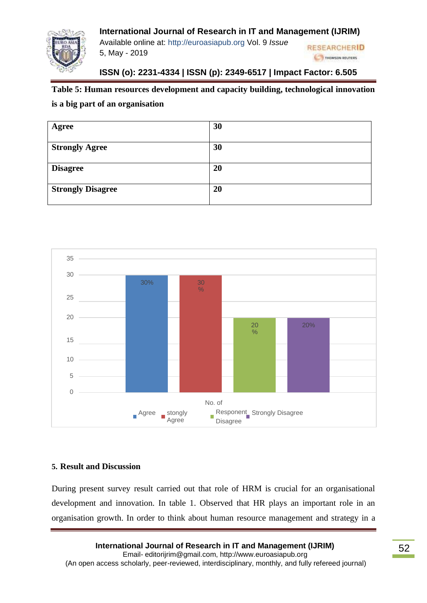

Available online at: [http://euroasiapub.org](http://euroasiapub.org/) Vol. 9 *Issue*  5, May - 2019

#### **RESEARCHERID CONTINUES THOMSON REUTERS**

# **ISSN (o): 2231-4334 | ISSN (p): 2349-6517 | Impact Factor: 6.505**

### **Table 5: Human resources development and capacity building, technological innovation**

#### **is a big part of an organisation**

| Agree                    | 30 |
|--------------------------|----|
| <b>Strongly Agree</b>    | 30 |
| <b>Disagree</b>          | 20 |
| <b>Strongly Disagree</b> | 20 |



#### **5. Result and Discussion**

During present survey result carried out that role of HRM is crucial for an organisational development and innovation. In table 1. Observed that HR plays an important role in an organisation growth. In order to think about human resource management and strategy in a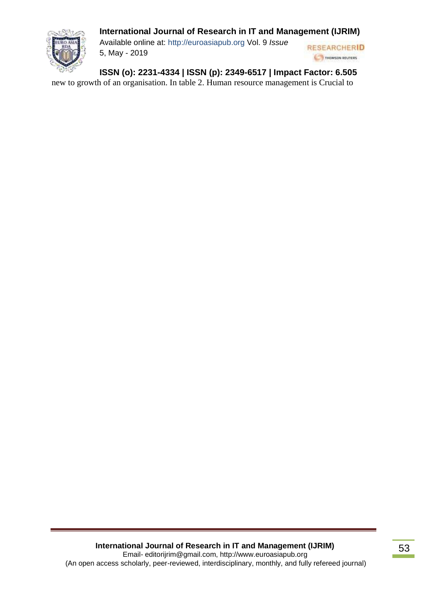

Available online at: [http://euroasiapub.org](http://euroasiapub.org/) Vol. 9 *Issue*  5, May - 2019



**ISSN (o): 2231-4334 | ISSN (p): 2349-6517 | Impact Factor: 6.505**

new to growth of an organisation. In table 2. Human resource management is Crucial to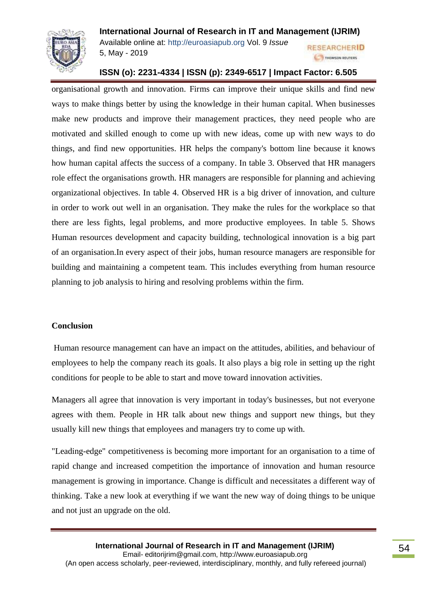

**RESEARCHERID 6 S THOMSON REUTERS** 

Available online at: [http://euroasiapub.org](http://euroasiapub.org/) Vol. 9 *Issue*  5, May - 2019

#### **ISSN (o): 2231-4334 | ISSN (p): 2349-6517 | Impact Factor: 6.505**

organisational growth and innovation. Firms can improve their unique skills and find new ways to make things better by using the knowledge in their human capital. When businesses make new products and improve their management practices, they need people who are motivated and skilled enough to come up with new ideas, come up with new ways to do things, and find new opportunities. HR helps the company's bottom line because it knows how human capital affects the success of a company. In table 3. Observed that HR managers role effect the organisations growth. HR managers are responsible for planning and achieving organizational objectives. In table 4. Observed HR is a big driver of innovation, and culture in order to work out well in an organisation. They make the rules for the workplace so that there are less fights, legal problems, and more productive employees. In table 5. Shows Human resources development and capacity building, technological innovation is a big part of an organisation.In every aspect of their jobs, human resource managers are responsible for building and maintaining a competent team. This includes everything from human resource planning to job analysis to hiring and resolving problems within the firm.

#### **Conclusion**

Human resource management can have an impact on the attitudes, abilities, and behaviour of employees to help the company reach its goals. It also plays a big role in setting up the right conditions for people to be able to start and move toward innovation activities.

Managers all agree that innovation is very important in today's businesses, but not everyone agrees with them. People in HR talk about new things and support new things, but they usually kill new things that employees and managers try to come up with.

"Leading-edge" competitiveness is becoming more important for an organisation to a time of rapid change and increased competition the importance of innovation and human resource management is growing in importance. Change is difficult and necessitates a different way of thinking. Take a new look at everything if we want the new way of doing things to be unique and not just an upgrade on the old.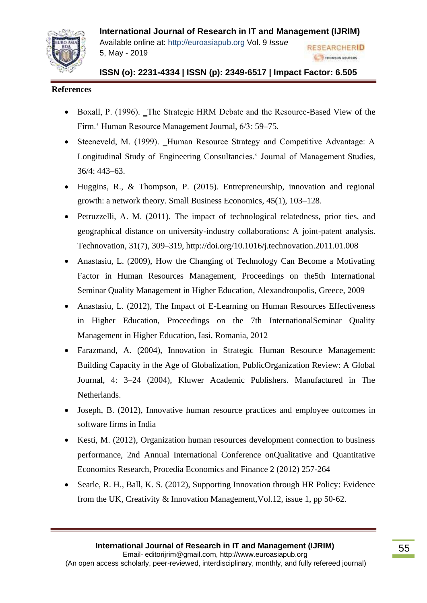

Available online at: [http://euroasiapub.org](http://euroasiapub.org/) Vol. 9 *Issue*  5, May - 2019

# **ISSN (o): 2231-4334 | ISSN (p): 2349-6517 | Impact Factor: 6.505**

**RESEARCHERID S THOMSON REUTERS** 

#### **References**

- Boxall, P. (1996). The Strategic HRM Debate and the Resource-Based View of the Firm.' Human Resource Management Journal, 6/3: 59–75.
- Steeneveld, M. (1999). Human Resource Strategy and Competitive Advantage: A Longitudinal Study of Engineering Consultancies.' Journal of Management Studies, 36/4: 443–63.
- Huggins, R., & Thompson, P. (2015). Entrepreneurship, innovation and regional growth: a network theory. Small Business Economics, 45(1), 103–128.
- Petruzzelli, A. M. (2011). The impact of technological relatedness, prior ties, and geographical distance on university-industry collaborations: A joint-patent analysis. Technovation, 31(7), 309–319, <http://doi.org/10.1016/j.technovation.2011.01.008>
- Anastasiu, L. (2009), How the Changing of Technology Can Become a Motivating Factor in Human Resources Management, Proceedings on the5th International Seminar Quality Management in Higher Education, Alexandroupolis, Greece, 2009
- Anastasiu, L. (2012), The Impact of E-Learning on Human Resources Effectiveness in Higher Education, Proceedings on the 7th InternationalSeminar Quality Management in Higher Education, Iasi, Romania, 2012
- Farazmand, A. (2004), Innovation in Strategic Human Resource Management: Building Capacity in the Age of Globalization, PublicOrganization Review: A Global Journal, 4: 3–24 (2004), Kluwer Academic Publishers. Manufactured in The Netherlands.
- Joseph, B. (2012), Innovative human resource practices and employee outcomes in software firms in India
- Kesti, M. (2012), Organization human resources development connection to business performance, 2nd Annual International Conference onQualitative and Quantitative Economics Research, Procedia Economics and Finance 2 (2012) 257-264
- Searle, R. H., Ball, K. S. (2012), Supporting Innovation through HR Policy: Evidence from the UK, Creativity & Innovation Management,Vol.12, issue 1, pp 50-62.